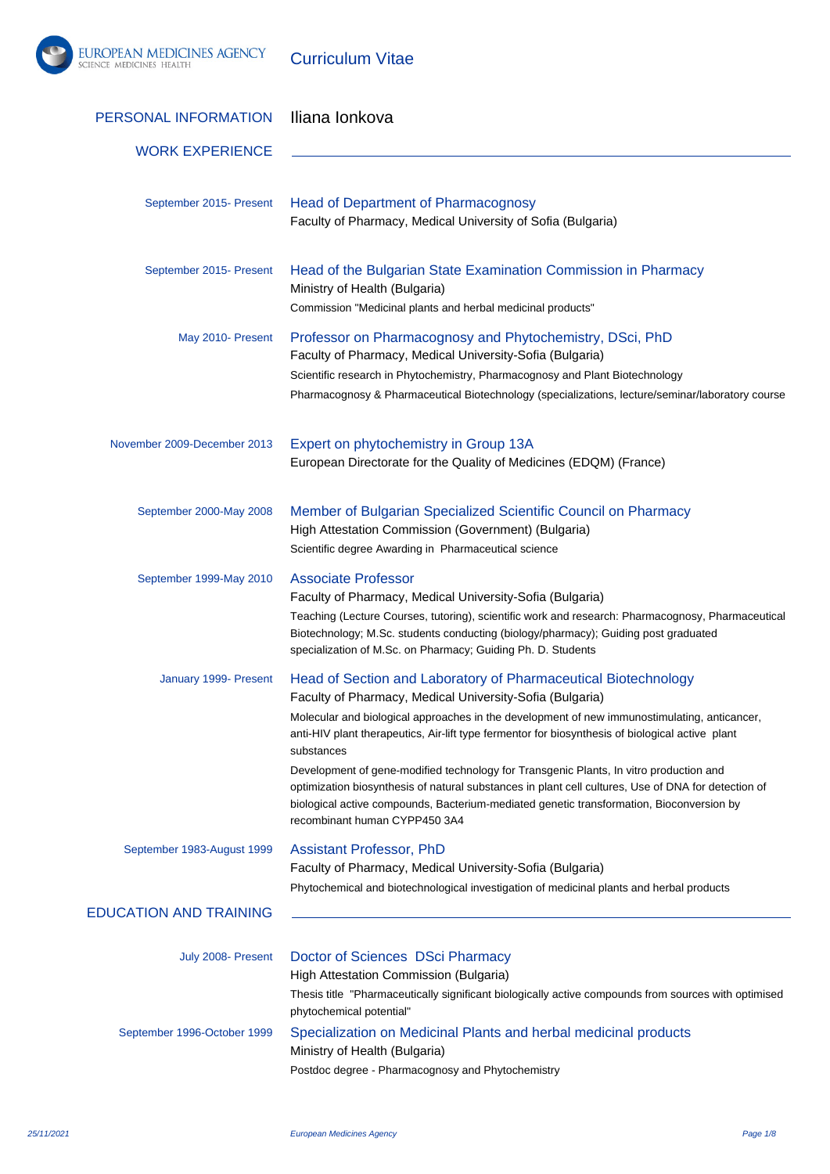

Curriculum Vitae

| PERSONAL INFORMATION          | Iliana lonkova                                                                                                                                                                                                                                                                                                                                                                                                                                                                                                                                                                                                                                                             |
|-------------------------------|----------------------------------------------------------------------------------------------------------------------------------------------------------------------------------------------------------------------------------------------------------------------------------------------------------------------------------------------------------------------------------------------------------------------------------------------------------------------------------------------------------------------------------------------------------------------------------------------------------------------------------------------------------------------------|
| <b>WORK EXPERIENCE</b>        |                                                                                                                                                                                                                                                                                                                                                                                                                                                                                                                                                                                                                                                                            |
|                               |                                                                                                                                                                                                                                                                                                                                                                                                                                                                                                                                                                                                                                                                            |
| September 2015- Present       | <b>Head of Department of Pharmacognosy</b><br>Faculty of Pharmacy, Medical University of Sofia (Bulgaria)                                                                                                                                                                                                                                                                                                                                                                                                                                                                                                                                                                  |
| September 2015- Present       | Head of the Bulgarian State Examination Commission in Pharmacy<br>Ministry of Health (Bulgaria)<br>Commission "Medicinal plants and herbal medicinal products"                                                                                                                                                                                                                                                                                                                                                                                                                                                                                                             |
| May 2010- Present             | Professor on Pharmacognosy and Phytochemistry, DSci, PhD<br>Faculty of Pharmacy, Medical University-Sofia (Bulgaria)<br>Scientific research in Phytochemistry, Pharmacognosy and Plant Biotechnology<br>Pharmacognosy & Pharmaceutical Biotechnology (specializations, lecture/seminar/laboratory course                                                                                                                                                                                                                                                                                                                                                                   |
| November 2009-December 2013   | Expert on phytochemistry in Group 13A<br>European Directorate for the Quality of Medicines (EDQM) (France)                                                                                                                                                                                                                                                                                                                                                                                                                                                                                                                                                                 |
| September 2000-May 2008       | Member of Bulgarian Specialized Scientific Council on Pharmacy<br>High Attestation Commission (Government) (Bulgaria)<br>Scientific degree Awarding in Pharmaceutical science                                                                                                                                                                                                                                                                                                                                                                                                                                                                                              |
| September 1999-May 2010       | <b>Associate Professor</b><br>Faculty of Pharmacy, Medical University-Sofia (Bulgaria)<br>Teaching (Lecture Courses, tutoring), scientific work and research: Pharmacognosy, Pharmaceutical<br>Biotechnology; M.Sc. students conducting (biology/pharmacy); Guiding post graduated<br>specialization of M.Sc. on Pharmacy; Guiding Ph. D. Students                                                                                                                                                                                                                                                                                                                         |
| January 1999- Present         | Head of Section and Laboratory of Pharmaceutical Biotechnology<br>Faculty of Pharmacy, Medical University-Sofia (Bulgaria)<br>Molecular and biological approaches in the development of new immunostimulating, anticancer,<br>anti-HIV plant therapeutics, Air-lift type fermentor for biosynthesis of biological active plant<br>substances<br>Development of gene-modified technology for Transgenic Plants, In vitro production and<br>optimization biosynthesis of natural substances in plant cell cultures, Use of DNA for detection of<br>biological active compounds, Bacterium-mediated genetic transformation, Bioconversion by<br>recombinant human CYPP450 3A4 |
| September 1983-August 1999    | <b>Assistant Professor, PhD</b><br>Faculty of Pharmacy, Medical University-Sofia (Bulgaria)<br>Phytochemical and biotechnological investigation of medicinal plants and herbal products                                                                                                                                                                                                                                                                                                                                                                                                                                                                                    |
| <b>EDUCATION AND TRAINING</b> |                                                                                                                                                                                                                                                                                                                                                                                                                                                                                                                                                                                                                                                                            |
| July 2008- Present            | Doctor of Sciences DSci Pharmacy<br>High Attestation Commission (Bulgaria)<br>Thesis title "Pharmaceutically significant biologically active compounds from sources with optimised<br>phytochemical potential"                                                                                                                                                                                                                                                                                                                                                                                                                                                             |
| September 1996-October 1999   | Specialization on Medicinal Plants and herbal medicinal products<br>Ministry of Health (Bulgaria)<br>Postdoc degree - Pharmacognosy and Phytochemistry                                                                                                                                                                                                                                                                                                                                                                                                                                                                                                                     |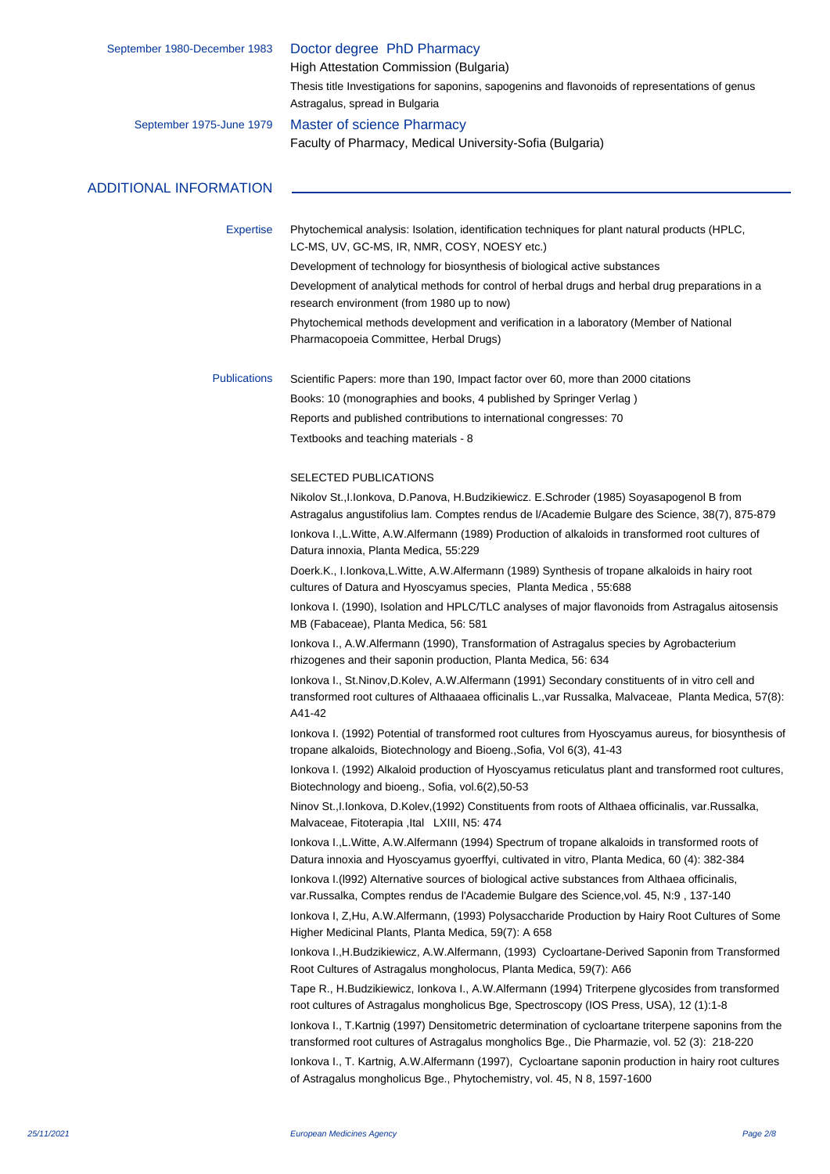| September 1980-December 1983  | Doctor degree PhD Pharmacy<br>High Attestation Commission (Bulgaria)                                                                                                                                              |
|-------------------------------|-------------------------------------------------------------------------------------------------------------------------------------------------------------------------------------------------------------------|
|                               | Thesis title Investigations for saponins, sapogenins and flavonoids of representations of genus<br>Astragalus, spread in Bulgaria                                                                                 |
| September 1975-June 1979      | <b>Master of science Pharmacy</b>                                                                                                                                                                                 |
|                               | Faculty of Pharmacy, Medical University-Sofia (Bulgaria)                                                                                                                                                          |
| <b>ADDITIONAL INFORMATION</b> |                                                                                                                                                                                                                   |
|                               |                                                                                                                                                                                                                   |
| <b>Expertise</b>              | Phytochemical analysis: Isolation, identification techniques for plant natural products (HPLC,<br>LC-MS, UV, GC-MS, IR, NMR, COSY, NOESY etc.)                                                                    |
|                               | Development of technology for biosynthesis of biological active substances                                                                                                                                        |
|                               | Development of analytical methods for control of herbal drugs and herbal drug preparations in a<br>research environment (from 1980 up to now)                                                                     |
|                               | Phytochemical methods development and verification in a laboratory (Member of National<br>Pharmacopoeia Committee, Herbal Drugs)                                                                                  |
| <b>Publications</b>           | Scientific Papers: more than 190, Impact factor over 60, more than 2000 citations                                                                                                                                 |
|                               | Books: 10 (monographies and books, 4 published by Springer Verlag)                                                                                                                                                |
|                               | Reports and published contributions to international congresses: 70                                                                                                                                               |
|                               | Textbooks and teaching materials - 8                                                                                                                                                                              |
|                               | <b>SELECTED PUBLICATIONS</b>                                                                                                                                                                                      |
|                               | Nikolov St., I. Ionkova, D. Panova, H. Budzikiewicz. E. Schroder (1985) Soyasapogenol B from<br>Astragalus angustifolius lam. Comptes rendus de l/Academie Bulgare des Science, 38(7), 875-879                    |
|                               | lonkova I., L. Witte, A. W. Alfermann (1989) Production of alkaloids in transformed root cultures of<br>Datura innoxia, Planta Medica, 55:229                                                                     |
|                               | Doerk.K., I.Ionkova,L.Witte, A.W.Alfermann (1989) Synthesis of tropane alkaloids in hairy root<br>cultures of Datura and Hyoscyamus species, Planta Medica, 55:688                                                |
|                               | lonkova I. (1990), Isolation and HPLC/TLC analyses of major flavonoids from Astragalus aitosensis<br>MB (Fabaceae), Planta Medica, 56: 581                                                                        |
|                               | lonkova I., A.W.Alfermann (1990), Transformation of Astragalus species by Agrobacterium<br>rhizogenes and their saponin production, Planta Medica, 56: 634                                                        |
|                               | lonkova I., St.Ninov,D.Kolev, A.W.Alfermann (1991) Secondary constituents of in vitro cell and<br>transformed root cultures of Althaaaea officinalis L., var Russalka, Malvaceae, Planta Medica, 57(8):<br>A41-42 |
|                               | lonkova I. (1992) Potential of transformed root cultures from Hyoscyamus aureus, for biosynthesis of<br>tropane alkaloids, Biotechnology and Bioeng., Sofia, Vol 6(3), 41-43                                      |
|                               | lonkova I. (1992) Alkaloid production of Hyoscyamus reticulatus plant and transformed root cultures,<br>Biotechnology and bioeng., Sofia, vol.6(2), 50-53                                                         |
|                               | Ninov St., I. Ionkova, D. Kolev, (1992) Constituents from roots of Althaea officinalis, var. Russalka,<br>Malvaceae, Fitoterapia, Ital LXIII, N5: 474                                                             |
|                               | Ionkova I., L. Witte, A. W. Alfermann (1994) Spectrum of tropane alkaloids in transformed roots of<br>Datura innoxia and Hyoscyamus gyoerffyi, cultivated in vitro, Planta Medica, 60 (4): 382-384                |
|                               | lonkova I. (1992) Alternative sources of biological active substances from Althaea officinalis,<br>var.Russalka, Comptes rendus de l'Academie Bulgare des Science, vol. 45, N:9, 137-140                          |
|                               | Ionkova I, Z, Hu, A.W. Alfermann, (1993) Polysaccharide Production by Hairy Root Cultures of Some<br>Higher Medicinal Plants, Planta Medica, 59(7): A 658                                                         |
|                               | Ionkova I., H. Budzikiewicz, A. W. Alfermann, (1993) Cycloartane-Derived Saponin from Transformed<br>Root Cultures of Astragalus mongholocus, Planta Medica, 59(7): A66                                           |
|                               | Tape R., H.Budzikiewicz, Ionkova I., A.W.Alfermann (1994) Triterpene glycosides from transformed<br>root cultures of Astragalus mongholicus Bge, Spectroscopy (IOS Press, USA), 12 (1):1-8                        |
|                               | lonkova I., T. Kartnig (1997) Densitometric determination of cycloartane triterpene saponins from the<br>transformed root cultures of Astragalus mongholics Bge., Die Pharmazie, vol. 52 (3): 218-220             |
|                               | Ionkova I., T. Kartnig, A.W.Alfermann (1997), Cycloartane saponin production in hairy root cultures<br>of Astragalus mongholicus Bge., Phytochemistry, vol. 45, N 8, 1597-1600                                    |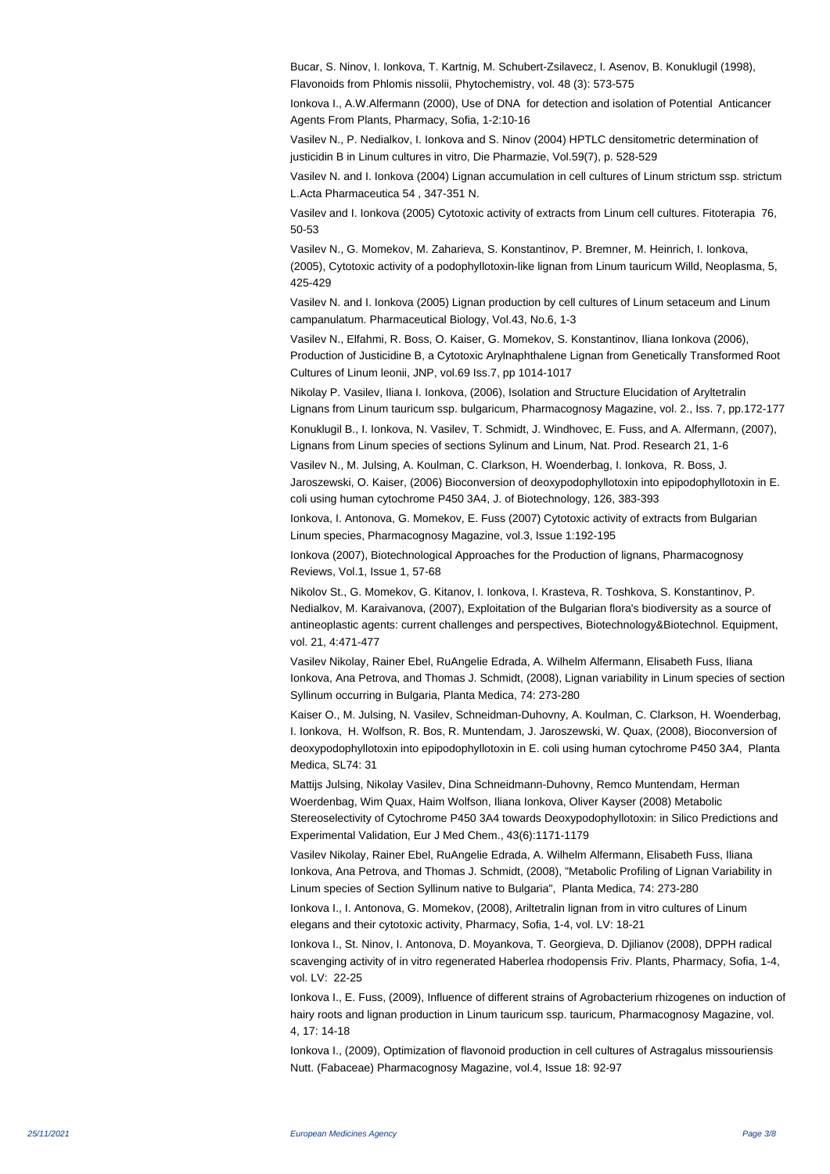Bucar, S. Ninov, I. Ionkova, T. Kartnig, M. Schubert-Zsilavecz, I. Asenov, B. Konuklugil (1998), Flavonoids from Phlomis nissolii, Phytochemistry, vol. 48 (3): 573-575

Ionkova I., A.W.Alfermann (2000), Use of DNA for detection and isolation of Potential Anticancer Agents From Plants, Pharmacy, Sofia, 1-2:10-16

Vasilev N., P. Nedialkov, I. Ionkova and S. Ninov (2004) HPTLC densitometric determination of justicidin B in Linum cultures in vitro, Die Pharmazie, Vol.59(7), p. 528-529

Vasilev N. and I. Ionkova (2004) Lignan accumulation in cell cultures of Linum strictum ssp. strictum L.Acta Pharmaceutica 54 , 347-351 N.

Vasilev and I. Ionkova (2005) Cytotoxic activity of extracts from Linum cell cultures. Fitoterapia 76, 50-53

Vasilev N., G. Momekov, M. Zaharieva, S. Konstantinov, P. Bremner, M. Heinrich, I. Ionkova, (2005), Cytotoxic activity of a podophyllotoxin-like lignan from Linum tauricum Willd, Neoplasma, 5, 425-429

Vasilev N. and I. Ionkova (2005) Lignan production by cell cultures of Linum setaceum and Linum campanulatum. Pharmaceutical Biology, Vol.43, No.6, 1-3

Vasilev N., Elfahmi, R. Boss, O. Kaiser, G. Momekov, S. Konstantinov, Iliana Ionkova (2006), Production of Justicidine B, a Cytotoxic Arylnaphthalene Lignan from Genetically Transformed Root Cultures of Linum leonii, JNP, vol.69 Iss.7, pp 1014-1017

Nikolay P. Vasilev, Iliana I. Ionkova, (2006), Isolation and Structure Elucidation of Aryltetralin Lignans from Linum tauricum ssp. bulgaricum, Pharmacognosy Magazine, vol. 2., Iss. 7, pp.172-177

Konuklugil B., I. Ionkova, N. Vasilev, T. Schmidt, J. Windhovec, E. Fuss, and A. Alfermann, (2007), Lignans from Linum species of sections Sylinum and Linum, Nat. Prod. Research 21, 1-6

Vasilev N., M. Julsing, A. Koulman, C. Clarkson, H. Woenderbag, I. Ionkova, R. Boss, J. Jaroszewski, O. Kaiser, (2006) Bioconversion of deoxypodophyllotoxin into epipodophyllotoxin in E. coli using human cytochrome P450 3A4, J. of Biotechnology, 126, 383-393

Ionkova, I. Antonova, G. Momekov, E. Fuss (2007) Cytotoxic activity of extracts from Bulgarian Linum species, Pharmacognosy Magazine, vol.3, Issue 1:192-195

Ionkova (2007), Biotechnological Approaches for the Production of lignans, Pharmacognosy Reviews, Vol.1, Issue 1, 57-68

Nikolov St., G. Momekov, G. Kitanov, I. Ionkova, I. Krasteva, R. Toshkova, S. Konstantinov, P. Nedialkov, M. Karaivanova, (2007), Exploitation of the Bulgarian flora's biodiversity as a source of antineoplastic agents: current challenges and perspectives, Biotechnology&Biotechnol. Equipment, vol. 21, 4:471-477

Vasilev Nikolay, Rainer Ebel, RuAngelie Edrada, A. Wilhelm Alfermann, Elisabeth Fuss, Iliana Ionkova, Ana Petrova, and Thomas J. Schmidt, (2008), Lignan variability in Linum species of section Syllinum occurring in Bulgaria, Planta Medica, 74: 273-280

Kaiser O., M. Julsing, N. Vasilev, Schneidman-Duhovny, A. Koulman, C. Clarkson, H. Woenderbag, I. Ionkova, H. Wolfson, R. Bos, R. Muntendam, J. Jaroszewski, W. Quax, (2008), Bioconversion of deoxypodophyllotoxin into epipodophyllotoxin in E. coli using human cytochrome P450 3A4, Planta Medica, SL74: 31

Mattijs Julsing, Nikolay Vasilev, Dina Schneidmann-Duhovny, Remco Muntendam, Herman Woerdenbag, Wim Quax, Haim Wolfson, Iliana Ionkova, Oliver Kayser (2008) Metabolic Stereoselectivity of Cytochrome P450 3A4 towards Deoxypodophyllotoxin: in Silico Predictions and

Experimental Validation, Eur J Med Chem., 43(6):1171-1179

Vasilev Nikolay, Rainer Ebel, RuAngelie Edrada, A. Wilhelm Alfermann, Elisabeth Fuss, Iliana Ionkova, Ana Petrova, and Thomas J. Schmidt, (2008), "Metabolic Profiling of Lignan Variability in Linum species of Section Syllinum native to Bulgaria", Planta Medica, 74: 273-280

Ionkova I., I. Antonova, G. Momekov, (2008), Ariltetralin lignan from in vitro cultures of Linum elegans and their cytotoxic activity, Pharmacy, Sofia, 1-4, vol. LV: 18-21

Ionkova I., St. Ninov, I. Antonova, D. Moyankova, T. Georgieva, D. Djilianov (2008), DPPH radical scavenging activity of in vitro regenerated Haberlea rhodopensis Friv. Plants, Pharmacy, Sofia, 1-4, vol. LV: 22-25

Ionkova I., E. Fuss, (2009), Influence of different strains of Agrobacterium rhizogenes on induction of hairy roots and lignan production in Linum tauricum ssp. tauricum, Pharmacognosy Magazine, vol. 4, 17: 14-18

Ionkova I., (2009), Optimization of flavonoid production in cell cultures of Astragalus missouriensis Nutt. (Fabaceae) Pharmacognosy Magazine, vol.4, Issue 18: 92-97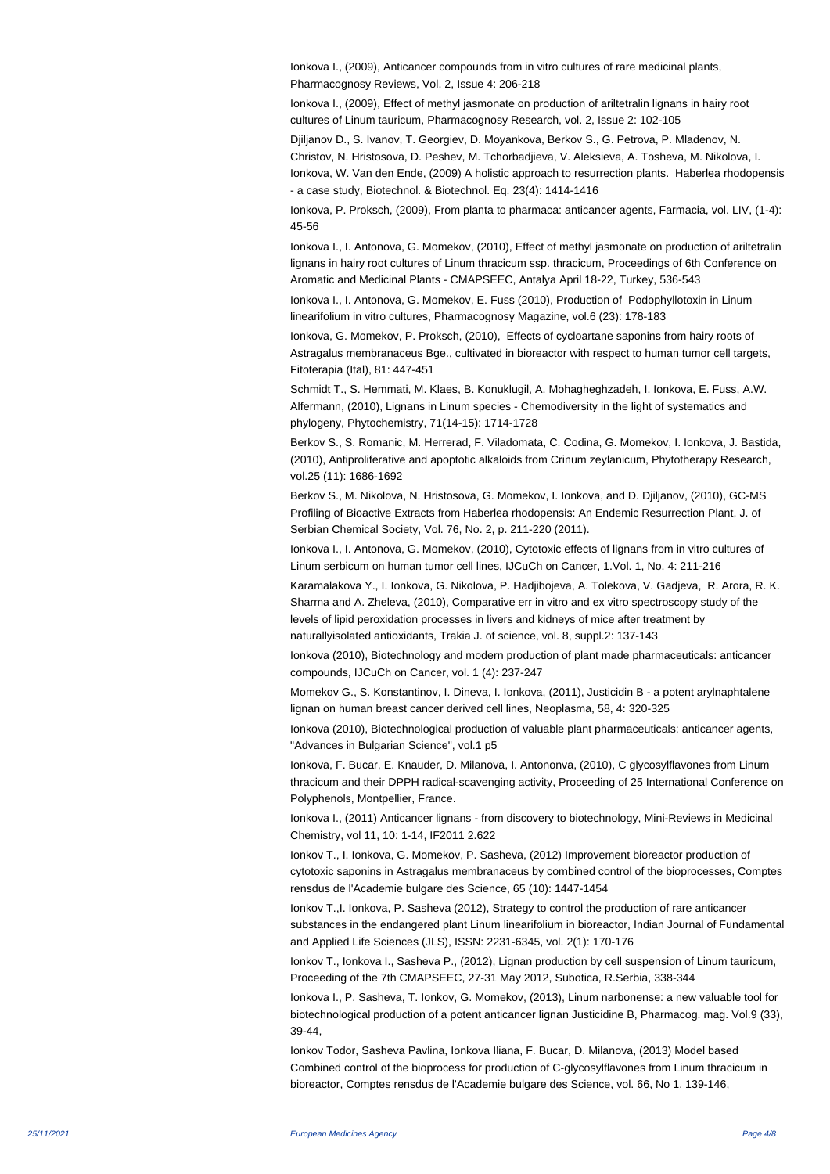Ionkova I., (2009), Anticancer compounds from in vitro cultures of rare medicinal plants, Pharmacognosy Reviews, Vol. 2, Issue 4: 206-218

Ionkova I., (2009), Effect of methyl jasmonate on production of ariltetralin lignans in hairy root cultures of Linum tauricum, Pharmacognosy Research, vol. 2, Issue 2: 102-105

Djiljanov D., S. Ivanov, T. Georgiev, D. Moyankova, Berkov S., G. Petrova, P. Mladenov, N. Christov, N. Hristosova, D. Peshev, M. Tchorbadjieva, V. Aleksieva, A. Tosheva, M. Nikolova, I. Ionkova, W. Van den Ende, (2009) A holistic approach to resurrection plants. Haberlea rhodopensis - a case study, Biotechnol. & Biotechnol. Eq. 23(4): 1414-1416

Ionkova, P. Proksch, (2009), From planta to pharmaca: anticancer agents, Farmacia, vol. LIV, (1-4): 45-56

Ionkova I., I. Antonova, G. Momekov, (2010), Effect of methyl jasmonate on production of ariltetralin lignans in hairy root cultures of Linum thracicum ssp. thracicum, Proceedings of 6th Conference on Aromatic and Medicinal Plants - CMAPSEEC, Antalya April 18-22, Turkey, 536-543

Ionkova I., I. Antonova, G. Momekov, E. Fuss (2010), Production of Podophyllotoxin in Linum linearifolium in vitro cultures, Pharmacognosy Magazine, vol.6 (23): 178-183

Ionkova, G. Momekov, P. Proksch, (2010), Effects of cycloartane saponins from hairy roots of Astragalus membranaceus Bge., cultivated in bioreactor with respect to human tumor cell targets, Fitoterapia (Ital), 81: 447-451

Schmidt T., S. Hemmati, M. Klaes, B. Konuklugil, A. Mohagheghzadeh, I. Ionkova, E. Fuss, A.W. Alfermann, (2010), Lignans in Linum species - Chemodiversity in the light of systematics and phylogeny, Phytochemistry, 71(14-15): 1714-1728

Berkov S., S. Romanic, M. Herrerad, F. Viladomata, C. Codina, G. Momekov, I. Ionkova, J. Bastida, (2010), Antiproliferative and apoptotic alkaloids from Crinum zeylanicum, Phytotherapy Research, vol.25 (11): 1686-1692

Berkov S., M. Nikolova, N. Hristosova, G. Momekov, I. Ionkova, and D. Djiljanov, (2010), GC-MS Profiling of Bioactive Extracts from Haberlea rhodopensis: An Endemic Resurrection Plant, J. of Serbian Chemical Society, Vol. 76, No. 2, p. 211-220 (2011).

Ionkova I., I. Antonova, G. Momekov, (2010), Cytotoxic effects of lignans from in vitro cultures of Linum serbicum on human tumor cell lines, IJCuCh on Cancer, 1.Vol. 1, No. 4: 211-216

Karamalakova Y., I. Ionkova, G. Nikolova, P. Hadjibojeva, A. Tolekova, V. Gadjeva, R. Arora, R. K. Sharma and A. Zheleva, (2010), Comparative err in vitro and ex vitro spectroscopy study of the levels of lipid peroxidation processes in livers and kidneys of mice after treatment by naturallyisolated antioxidants, Trakia J. of science, vol. 8, suppl.2: 137-143

Ionkova (2010), Biotechnology and modern production of plant made pharmaceuticals: anticancer compounds, IJCuCh on Cancer, vol. 1 (4): 237-247

Momekov G., S. Konstantinov, I. Dineva, I. Ionkova, (2011), Justicidin B - a potent arylnaphtalene lignan on human breast cancer derived cell lines, Neoplasma, 58, 4: 320-325

Ionkova (2010), Biotechnological production of valuable plant pharmaceuticals: anticancer agents, "Advances in Bulgarian Science", vol.1 p5

Ionkova, F. Bucar, E. Knauder, D. Milanova, I. Antononva, (2010), C glycosylflavones from Linum thracicum and their DPPH radical-scavenging activity, Proceeding of 25 International Conference on Polyphenols, Montpellier, France.

Ionkova I., (2011) Anticancer lignans - from discovery to biotechnology, Mini-Reviews in Medicinal Chemistry, vol 11, 10: 1-14, IF2011 2.622

Ionkov T., I. Ionkova, G. Momekov, P. Sasheva, (2012) Improvement bioreactor production of cytotoxic saponins in Astragalus membranaceus by combined control of the bioprocesses, Comptes rensdus de l'Academie bulgare des Science, 65 (10): 1447-1454

Ionkov T.,I. Ionkova, P. Sasheva (2012), Strategy to control the production of rare anticancer substances in the endangered plant Linum linearifolium in bioreactor, Indian Journal of Fundamental and Applied Life Sciences (JLS), ISSN: 2231-6345, vol. 2(1): 170-176

Ionkov T., Ionkova I., Sasheva P., (2012), Lignan production by cell suspension of Linum tauricum, Proceeding of the 7th CMAPSEEC, 27-31 May 2012, Subotica, R.Serbia, 338-344

Ionkova I., P. Sasheva, T. Ionkov, G. Momekov, (2013), Linum narbonense: a new valuable tool for biotechnological production of a potent anticancer lignan Justicidine B, Pharmacog. mag. Vol.9 (33), 39-44,

Ionkov Todor, Sasheva Pavlina, Ionkova Iliana, F. Bucar, D. Milanova, (2013) Model based Combined control of the bioprocess for production of C-glycosylflavones from Linum thracicum in bioreactor, Comptes rensdus de l'Academie bulgare des Science, vol. 66, No 1, 139-146,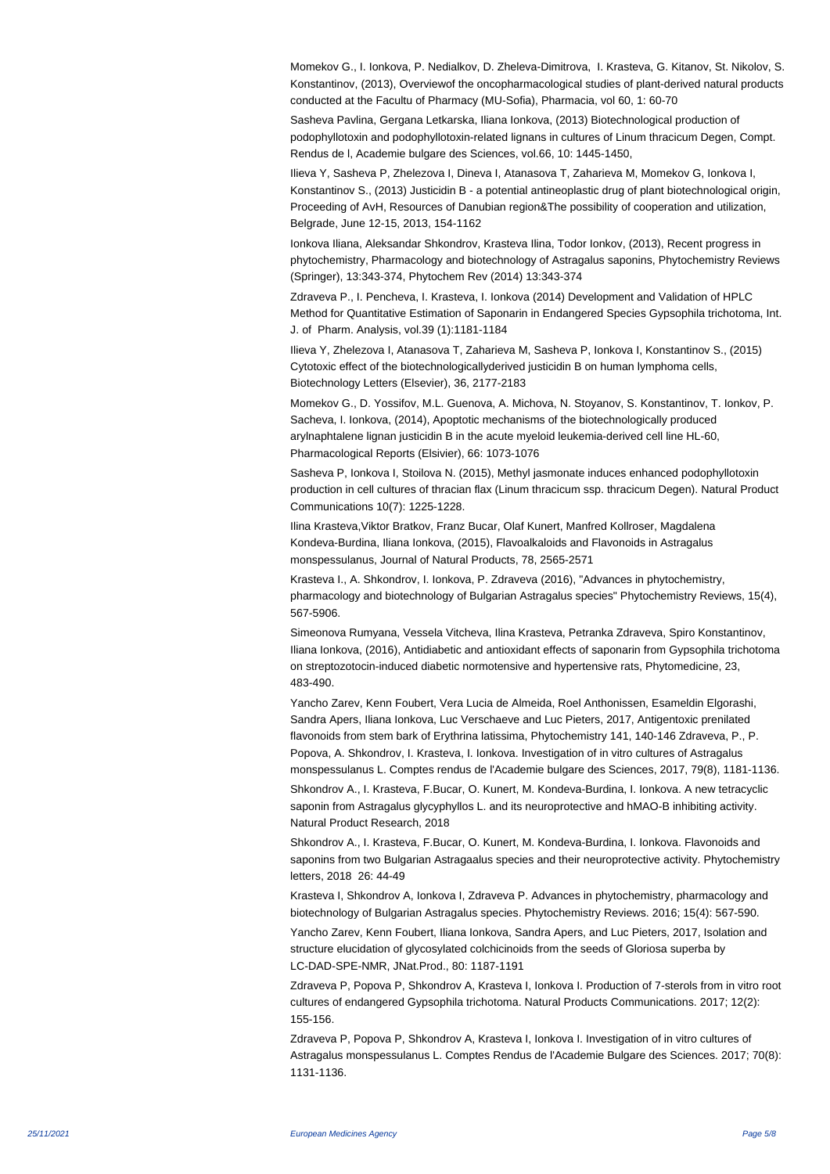Momekov G., I. Ionkova, P. Nedialkov, D. Zheleva-Dimitrova, I. Krasteva, G. Kitanov, St. Nikolov, S. Konstantinov, (2013), Overviewof the oncopharmacological studies of plant-derived natural products conducted at the Facultu of Pharmacy (MU-Sofia), Pharmacia, vol 60, 1: 60-70

Sasheva Pavlina, Gergana Letkarska, Iliana Ionkova, (2013) Biotechnological production of podophyllotoxin and podophyllotoxin-related lignans in cultures of Linum thracicum Degen, Compt. Rendus de l, Academie bulgare des Sciences, vol.66, 10: 1445-1450,

Ilieva Y, Sasheva P, Zhelezova I, Dineva I, Atanasova T, Zaharieva M, Momekov G, Ionkova I, Konstantinov S., (2013) Justicidin B - a potential antineoplastic drug of plant biotechnological origin, Proceeding of AvH, Resources of Danubian region&The possibility of cooperation and utilization, Belgrade, June 12-15, 2013, 154-1162

Ionkova Iliana, Aleksandar Shkondrov, Krasteva Ilina, Todor Ionkov, (2013), Recent progress in phytochemistry, Pharmacology and biotechnology of Astragalus saponins, Phytochemistry Reviews (Springer), 13:343-374, Phytochem Rev (2014) 13:343-374

Zdraveva P., I. Pencheva, I. Krasteva, I. Ionkova (2014) Development and Validation of HPLC Method for Quantitative Estimation of Saponarin in Endangered Species Gypsophila trichotoma, Int. J. of Pharm. Analysis, vol.39 (1):1181-1184

Ilieva Y, Zhelezova I, Atanasova T, Zaharieva M, Sasheva P, Ionkova I, Konstantinov S., (2015) Cytotoxic effect of the biotechnologicallyderived justicidin B on human lymphoma cells, Biotechnology Letters (Elsevier), 36, 2177-2183

Momekov G., D. Yossifov, M.L. Guenova, A. Michova, N. Stoyanov, S. Konstantinov, T. Ionkov, P. Sacheva, I. Ionkova, (2014), Apoptotic mechanisms of the biotechnologically produced arylnaphtalene lignan justicidin B in the acute myeloid leukemia-derived cell line HL-60, Pharmacological Reports (Elsivier), 66: 1073-1076

Sasheva P, Ionkova I, Stoilova N. (2015), Methyl jasmonate induces enhanced podophyllotoxin production in cell cultures of thracian flax (Linum thracicum ssp. thracicum Degen). Natural Product Communications 10(7): 1225-1228.

Ilina Krasteva,Viktor Bratkov, Franz Bucar, Olaf Kunert, Manfred Kollroser, Magdalena Kondeva-Burdina, Iliana Ionkova, (2015), Flavoalkaloids and Flavonoids in Astragalus monspessulanus, Journal of Natural Products, 78, 2565-2571

Krasteva I., A. Shkondrov, I. Ionkova, P. Zdraveva (2016), "Advances in phytochemistry, pharmacology and biotechnology of Bulgarian Astragalus species" Phytochemistry Reviews, 15(4), 567-5906.

Simeonova Rumyana, Vessela Vitcheva, Ilina Krasteva, Petranka Zdraveva, Spiro Konstantinov, Iliana Ionkova, (2016), Antidiabetic and antioxidant effects of saponarin from Gypsophila trichotoma on streptozotocin-induced diabetic normotensive and hypertensive rats, Phytomedicine, 23, 483-490.

Yancho Zarev, Kenn Foubert, Vera Lucia de Almeida, Roel Anthonissen, Esameldin Elgorashi, Sandra Apers, Iliana Ionkova, Luc Verschaeve and Luc Pieters, 2017, Antigentoxic prenilated flavonoids from stem bark of Erythrina latissima, Phytochemistry 141, 140-146 Zdraveva, P., P. Popova, A. Shkondrov, I. Krasteva, I. Ionkova. Investigation of in vitro cultures of Astragalus monspessulanus L. Comptes rendus de l'Academie bulgare des Sciences, 2017, 79(8), 1181-1136.

Shkondrov A., I. Krasteva, F.Bucar, O. Kunert, M. Kondeva-Burdina, I. Ionkova. A new tetracyclic saponin from Astragalus glycyphyllos L. and its neuroprotective and hMAO-B inhibiting activity. Natural Product Research, 2018

Shkondrov A., I. Krasteva, F.Bucar, O. Kunert, M. Kondeva-Burdina, I. Ionkova. Flavonoids and saponins from two Bulgarian Astragaalus species and their neuroprotective activity. Phytochemistry letters, 2018 26: 44-49

Krasteva I, Shkondrov A, Ionkova I, Zdraveva P. Advances in phytochemistry, pharmacology and biotechnology of Bulgarian Astragalus species. Phytochemistry Reviews. 2016; 15(4): 567-590.

Yancho Zarev, Kenn Foubert, Iliana Ionkova, Sandra Apers, and Luc Pieters, 2017, Isolation and structure elucidation of glycosylated colchicinoids from the seeds of Gloriosa superba by LC-DAD-SPE-NMR, JNat.Prod., 80: 1187-1191

Zdraveva P, Popova P, Shkondrov A, Krasteva I, Ionkova I. Production of 7-sterols from in vitro root cultures of endangered Gypsophila trichotoma. Natural Products Communications. 2017; 12(2): 155-156.

Zdraveva P, Popova P, Shkondrov A, Krasteva I, Ionkova I. Investigation of in vitro cultures of Astragalus monspessulanus L. Comptes Rendus de l'Academie Bulgare des Sciences. 2017; 70(8): 1131-1136.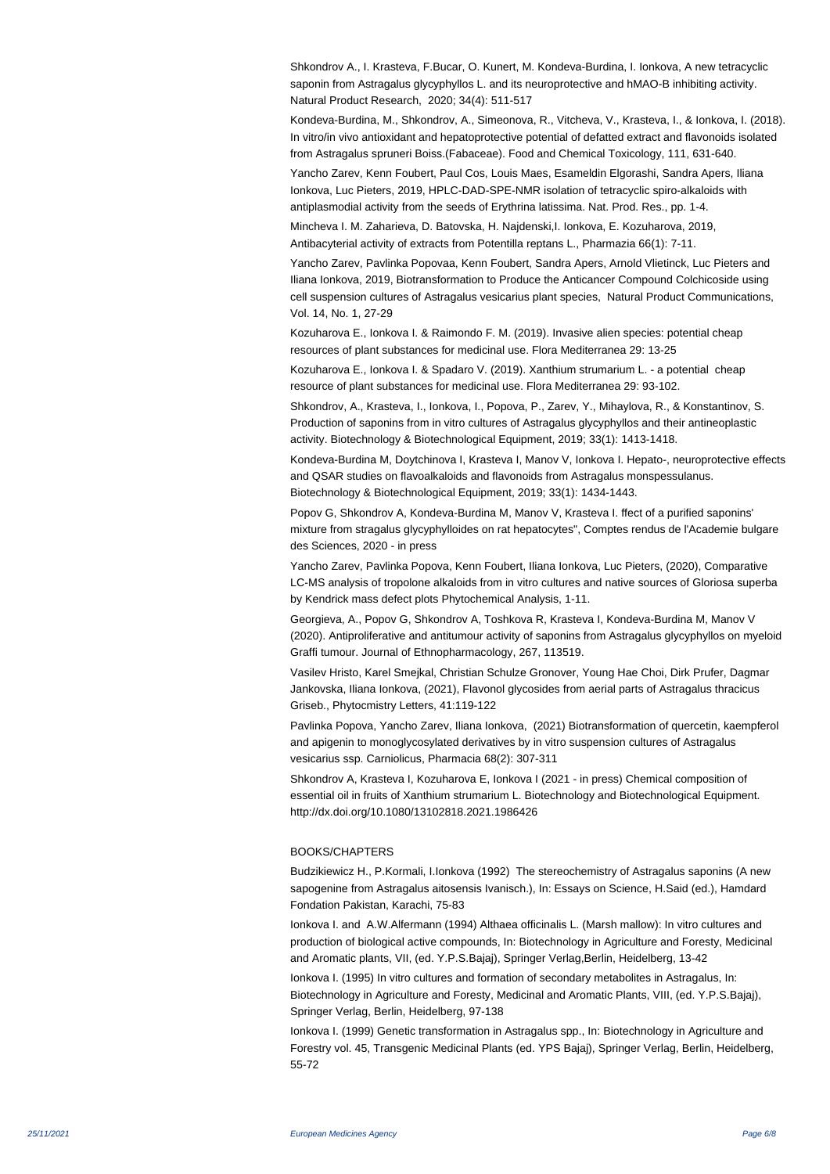Shkondrov A., I. Krasteva, F.Bucar, O. Kunert, M. Kondeva-Burdina, I. Ionkova, A new tetracyclic saponin from Astragalus glycyphyllos L. and its neuroprotective and hMAO-B inhibiting activity. Natural Product Research, 2020; 34(4): 511-517

Kondeva-Burdina, M., Shkondrov, A., Simeonova, R., Vitcheva, V., Krasteva, I., & Ionkova, I. (2018). In vitro/in vivo antioxidant and hepatoprotective potential of defatted extract and flavonoids isolated from Astragalus spruneri Boiss.(Fabaceae). Food and Chemical Toxicology, 111, 631-640.

Yancho Zarev, Kenn Foubert, Paul Cos, Louis Maes, Esameldin Elgorashi, Sandra Apers, Iliana Ionkova, Luc Pieters, 2019, HPLC-DAD-SPE-NMR isolation of tetracyclic spiro-alkaloids with antiplasmodial activity from the seeds of Erythrina latissima. Nat. Prod. Res., pp. 1-4.

Mincheva I. M. Zaharieva, D. Batovska, H. Najdenski,I. Ionkova, E. Kozuharova, 2019, Antibacyterial activity of extracts from Potentilla reptans L., Pharmazia 66(1): 7-11.

Yancho Zarev, Pavlinka Popovaa, Kenn Foubert, Sandra Apers, Arnold Vlietinck, Luc Pieters and Iliana Ionkova, 2019, Biotransformation to Produce the Anticancer Compound Colchicoside using cell suspension cultures of Astragalus vesicarius plant species, Natural Product Communications, Vol. 14, No. 1, 27-29

Kozuharova E., Ionkova I. & Raimondo F. M. (2019). Invasive alien species: potential cheap resources of plant substances for medicinal use. Flora Mediterranea 29: 13-25

Kozuharova E., Ionkova I. & Spadaro V. (2019). Xanthium strumarium L. - a potential cheap resource of plant substances for medicinal use. Flora Mediterranea 29: 93-102.

Shkondrov, A., Krasteva, I., Ionkova, I., Popova, P., Zarev, Y., Mihaylova, R., & Konstantinov, S. Production of saponins from in vitro cultures of Astragalus glycyphyllos and their antineoplastic activity. Biotechnology & Biotechnological Equipment, 2019; 33(1): 1413-1418.

Kondeva-Burdina M, Doytchinova I, Krasteva I, Manov V, Ionkova I. Hepato-, neuroprotective effects and QSAR studies on flavoalkaloids and flavonoids from Astragalus monspessulanus. Biotechnology & Biotechnological Equipment, 2019; 33(1): 1434-1443.

Popov G, Shkondrov A, Kondeva-Burdina M, Manov V, Krasteva I. ffect of a purified saponins' mixture from stragalus glycyphylloides on rat hepatocytes", Comptes rendus de l'Academie bulgare des Sciences, 2020 - in press

Yancho Zarev, Pavlinka Popova, Kenn Foubert, Iliana Ionkova, Luc Pieters, (2020), Comparative LC-MS analysis of tropolone alkaloids from in vitro cultures and native sources of Gloriosa superba by Kendrick mass defect plots Phytochemical Analysis, 1-11.

Georgieva, A., Popov G, Shkondrov A, Toshkova R, Krasteva I, Kondeva-Burdina M, Manov V (2020). Antiproliferative and antitumour activity of saponins from Astragalus glycyphyllos on myeloid Graffi tumour. Journal of Ethnopharmacology, 267, 113519.

Vasilev Hristo, Karel Smejkal, Christian Schulze Gronover, Young Hae Choi, Dirk Prufer, Dagmar Jankovska, Iliana Ionkova, (2021), Flavonol glycosides from aerial parts of Astragalus thracicus Griseb., Phytocmistry Letters, 41:119-122

Pavlinka Popova, Yancho Zarev, Iliana Ionkova, (2021) Biotransformation of quercetin, kaempferol and apigenin to monoglycosylated derivatives by in vitro suspension cultures of Astragalus vesicarius ssp. Carniolicus, Pharmacia 68(2): 307-311

Shkondrov A, Krasteva I, Kozuharova E, Ionkova I (2021 - in press) Chemical composition of essential oil in fruits of Xanthium strumarium L. Biotechnology and Biotechnological Equipment. http://dx.doi.org/10.1080/13102818.2021.1986426

## BOOKS/CHAPTERS

Budzikiewicz H., P.Kormali, I.Ionkova (1992) The stereochemistry of Astragalus saponins (A new sapogenine from Astragalus aitosensis Ivanisch.), In: Essays on Science, H.Said (ed.), Hamdard Fondation Pakistan, Karachi, 75-83

Ionkova I. and A.W.Alfermann (1994) Althaea officinalis L. (Marsh mallow): In vitro cultures and production of biological active compounds, In: Biotechnology in Agriculture and Foresty, Medicinal and Aromatic plants, VII, (ed. Y.P.S.Bajaj), Springer Verlag,Berlin, Heidelberg, 13-42

Ionkova I. (1995) In vitro cultures and formation of secondary metabolites in Astragalus, In: Biotechnology in Agriculture and Foresty, Medicinal and Aromatic Plants, VIII, (ed. Y.P.S.Bajaj), Springer Verlag, Berlin, Heidelberg, 97-138

Ionkova I. (1999) Genetic transformation in Astragalus spp., In: Biotechnology in Agriculture and Forestry vol. 45, Transgenic Medicinal Plants (ed. YPS Bajaj), Springer Verlag, Berlin, Heidelberg, 55-72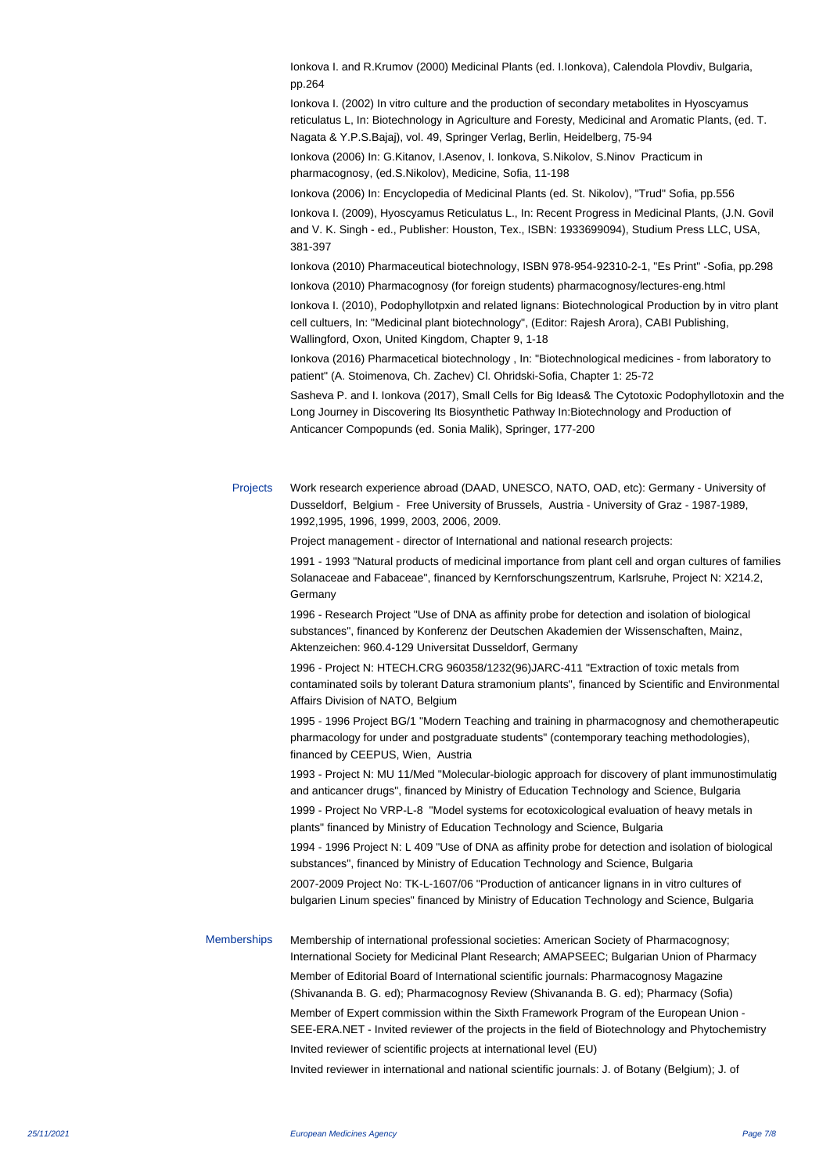Ionkova I. and R.Krumov (2000) Medicinal Plants (ed. I.Ionkova), Calendola Plovdiv, Bulgaria, pp.264

Ionkova I. (2002) In vitro culture and the production of secondary metabolites in Hyoscyamus reticulatus L, In: Biotechnology in Agriculture and Foresty, Medicinal and Aromatic Plants, (ed. T. Nagata & Y.P.S.Bajaj), vol. 49, Springer Verlag, Berlin, Heidelberg, 75-94

Ionkova (2006) In: G.Kitanov, I.Asenov, I. Ionkova, S.Nikolov, S.Ninov Practicum in pharmacognosy, (ed.S.Nikolov), Medicine, Sofia, 11-198

Ionkova (2006) In: Encyclopedia of Medicinal Plants (ed. St. Nikolov), "Trud" Sofia, pp.556

Ionkova I. (2009), Hyoscyamus Reticulatus L., In: Recent Progress in Medicinal Plants, (J.N. Govil and V. K. Singh - ed., Publisher: Houston, Tex., ISBN: 1933699094), Studium Press LLC, USA, 381-397

Ionkova (2010) Pharmaceutical biotechnology, ISBN 978-954-92310-2-1, "Es Print" -Sofia, pp.298

Ionkova (2010) Pharmacognosy (for foreign students) pharmacognosy/lectures-eng.html

Ionkova I. (2010), Podophyllotpxin and related lignans: Biotechnological Production by in vitro plant cell cultuers, In: "Medicinal plant biotechnology", (Editor: Rajesh Arora), CABI Publishing, Wallingford, Oxon, United Kingdom, Chapter 9, 1-18

Ionkova (2016) Pharmacetical biotechnology , In: "Biotechnological medicines - from laboratory to patient" (A. Stoimenova, Ch. Zachev) Cl. Ohridski-Sofia, Chapter 1: 25-72

Sasheva P. and I. Ionkova (2017), Small Cells for Big Ideas& The Cytotoxic Podophyllotoxin and the Long Journey in Discovering Its Biosynthetic Pathway In:Biotechnology and Production of Anticancer Compopunds (ed. Sonia Malik), Springer, 177-200

Projects Work research experience abroad (DAAD, UNESCO, NATO, OAD, etc): Germany - University of Dusseldorf, Belgium - Free University of Brussels, Austria - University of Graz - 1987-1989, 1992,1995, 1996, 1999, 2003, 2006, 2009.

Project management - director of International and national research projects:

 1991 - 1993 "Natural products of medicinal importance from plant cell and organ cultures of families Solanaceae and Fabaceae", financed by Kernforschungszentrum, Karlsruhe, Project N: X214.2, **Germany** 

 1996 - Research Project "Use of DNA as affinity probe for detection and isolation of biological substances", financed by Konferenz der Deutschen Akademien der Wissenschaften, Mainz, Aktenzeichen: 960.4-129 Universitat Dusseldorf, Germany

 1996 - Project N: HTECH.CRG 960358/1232(96)JARC-411 "Extraction of toxic metals from contaminated soils by tolerant Datura stramonium plants", financed by Scientific and Environmental Affairs Division of NATO, Belgium

 1995 - 1996 Project BG/1 "Modern Teaching and training in pharmacognosy and chemotherapeutic pharmacology for under and postgraduate students" (contemporary teaching methodologies), financed by CEEPUS, Wien, Austria

 1993 - Project N: MU 11/Med "Molecular-biologic approach for discovery of plant immunostimulatig and anticancer drugs", financed by Ministry of Education Technology and Science, Bulgaria

 1999 - Project No VRP-L-8 "Model systems for ecotoxicological evaluation of heavy metals in plants" financed by Ministry of Education Technology and Science, Bulgaria

 1994 - 1996 Project N: L 409 "Use of DNA as affinity probe for detection and isolation of biological substances", financed by Ministry of Education Technology and Science, Bulgaria

 2007-2009 Project No: TK-L-1607/06 "Production of anticancer lignans in in vitro cultures of bulgarien Linum species" financed by Ministry of Education Technology and Science, Bulgaria

Memberships Membership of international professional societies: American Society of Pharmacognosy; International Society for Medicinal Plant Research; AMAPSEEC; Bulgarian Union of Pharmacy Member of Editorial Board of International scientific journals: Pharmacognosy Magazine (Shivananda B. G. ed); Pharmacognosy Review (Shivananda B. G. ed); Pharmacy (Sofia) Member of Expert commission within the Sixth Framework Program of the European Union - SEE-ERA.NET - Invited reviewer of the projects in the field of Biotechnology and Phytochemistry Invited reviewer of scientific projects at international level (EU) Invited reviewer in international and national scientific journals: J. of Botany (Belgium); J. of